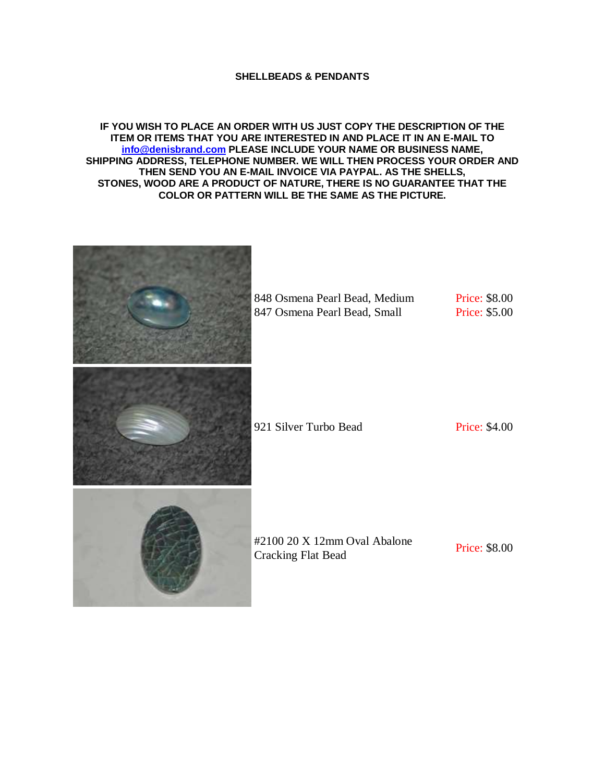## **SHELLBEADS & PENDANTS**

## **IF YOU WISH TO PLACE AN ORDER WITH US JUST COPY THE DESCRIPTION OF THE ITEM OR ITEMS THAT YOU ARE INTERESTED IN AND PLACE IT IN AN E-MAIL TO [info@denisbrand.com](mailto:info@denisbrand.com) PLEASE INCLUDE YOUR NAME OR BUSINESS NAME, SHIPPING ADDRESS, TELEPHONE NUMBER. WE WILL THEN PROCESS YOUR ORDER AND THEN SEND YOU AN E-MAIL INVOICE VIA PAYPAL. AS THE SHELLS, STONES, WOOD ARE A PRODUCT OF NATURE, THERE IS NO GUARANTEE THAT THE COLOR OR PATTERN WILL BE THE SAME AS THE PICTURE.**

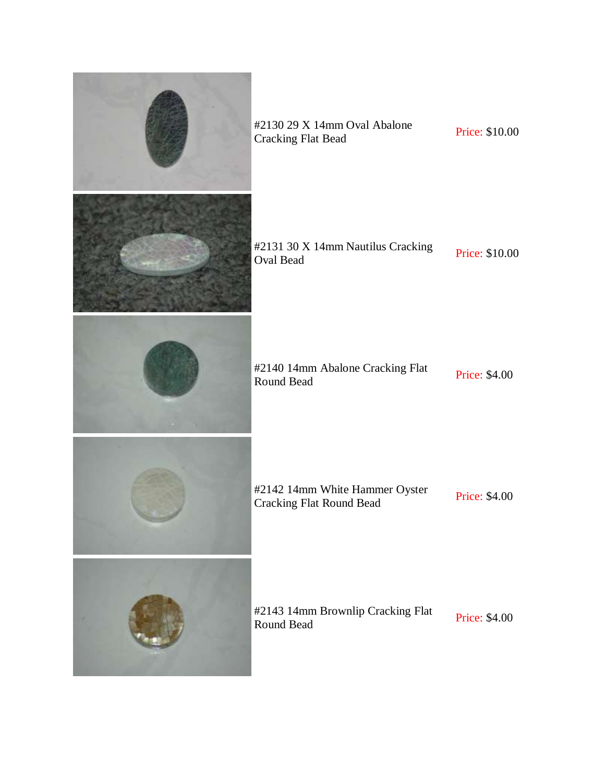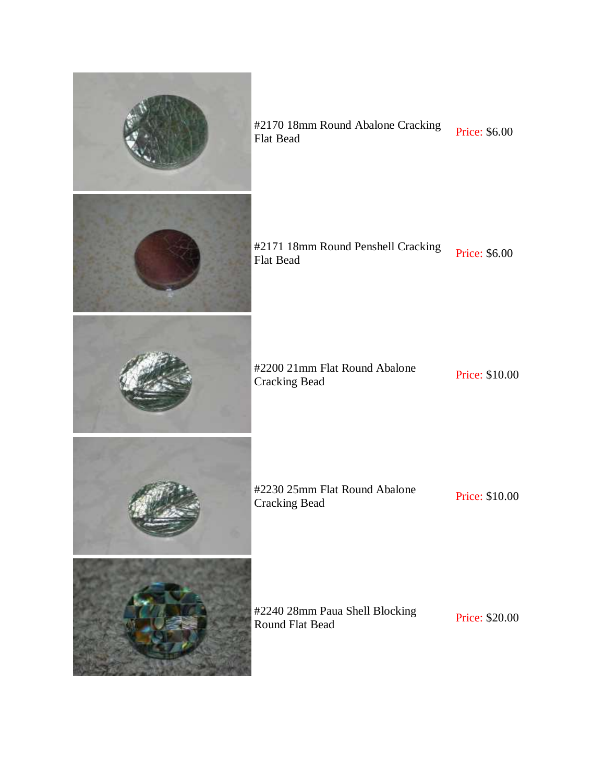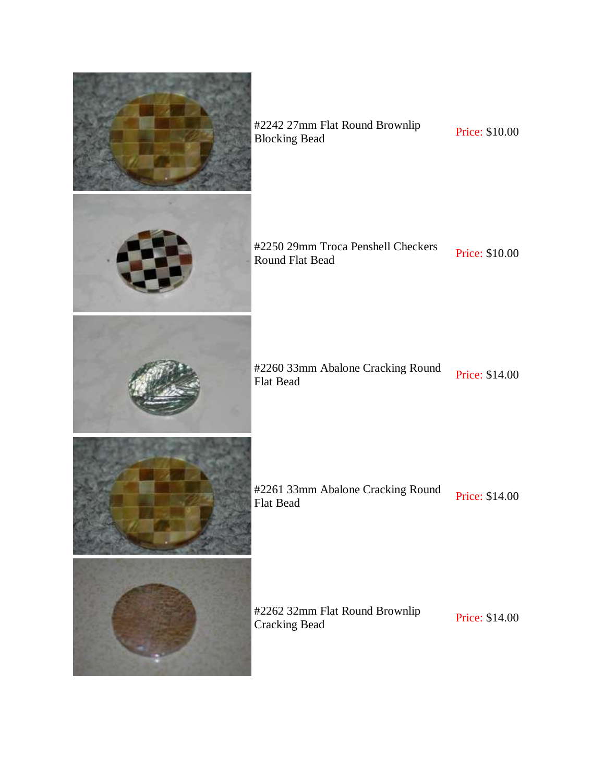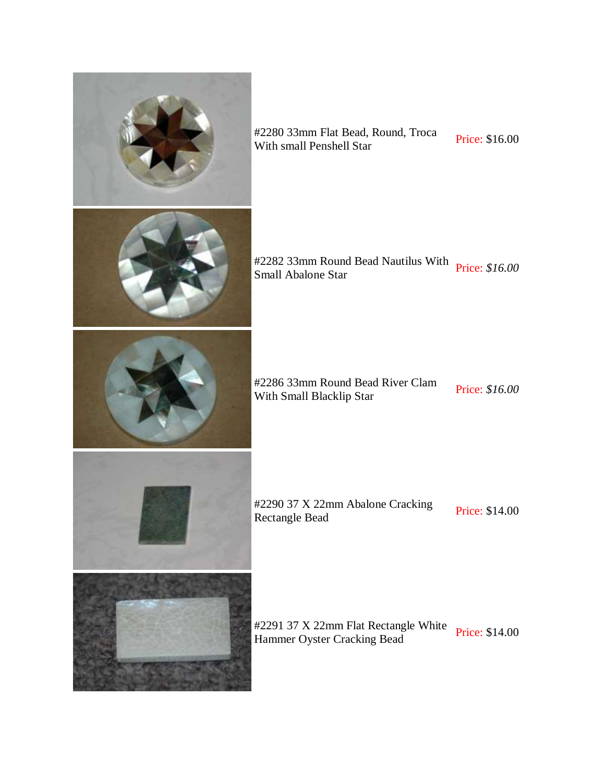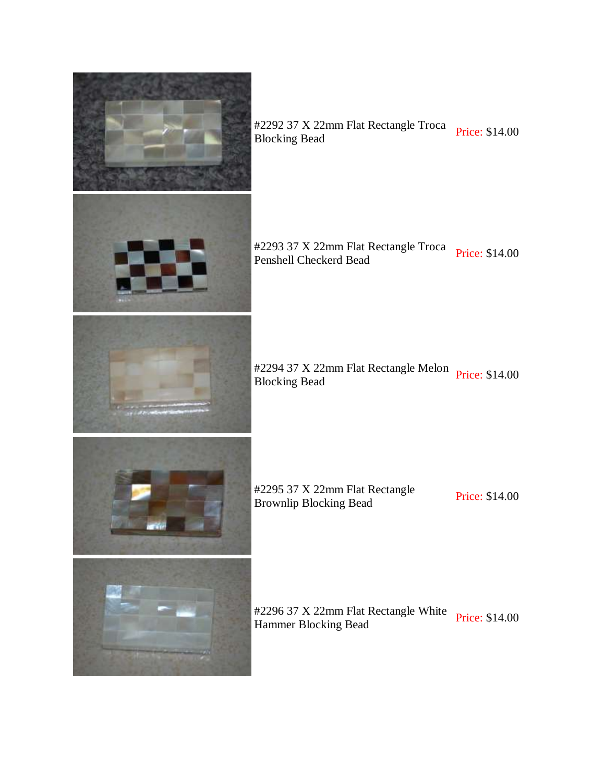

#2292 37 X 22mm Flat Rectangle Troca<br>Blocking Bead

#2293 37 X 22mm Flat Rectangle Troca<br>Penshell Checkerd Bead

#2294 37 X 22mm Flat Rectangle Melon Price: \$14.00<br>Blocking Bead

#2295 37 X 22mm Flat Rectangle H2293 37 A 2211111 Fiat Rectangle<br>Brownlip Blocking Bead Price: \$14.00

#2296 37 X 22mm Flat Rectangle White Price: \$14.00<br>Hammer Blocking Bead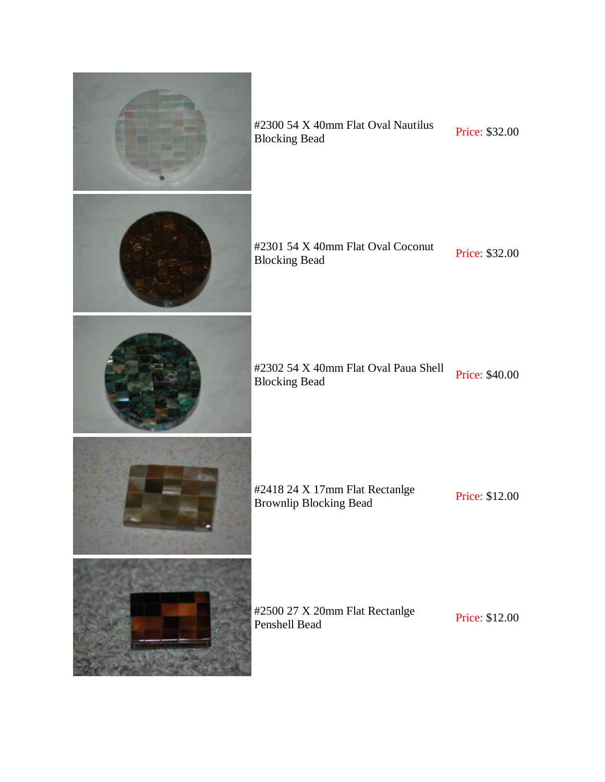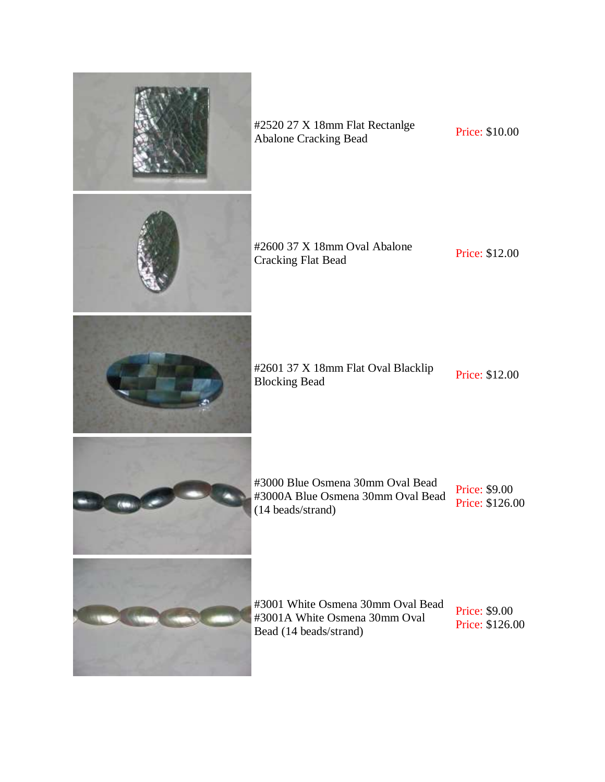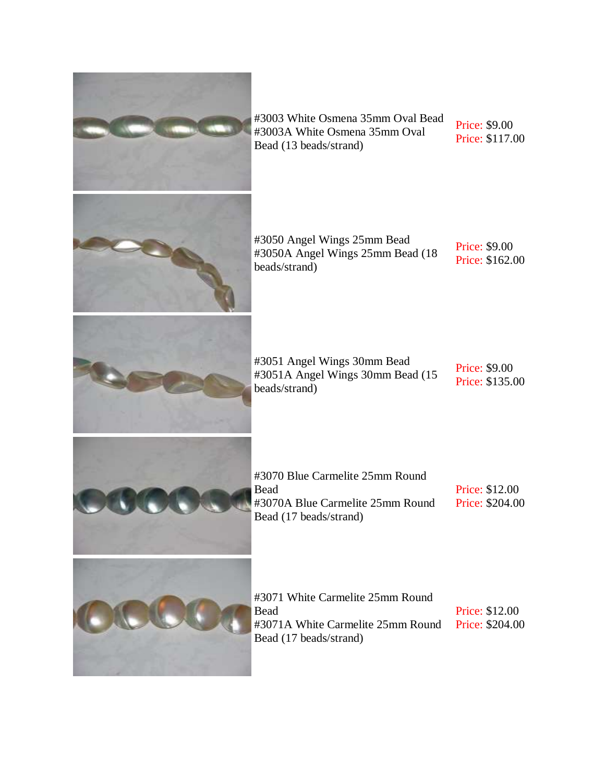

Price: \$9.00 Price: \$117.00

Price: \$9.00 Price: \$162.00

#3051A Angel Wings 30mm Bead (15

Price: \$9.00 Price: \$135.00

Price: \$12.00 Price: \$204.00

Price: \$12.00 Price: \$204.00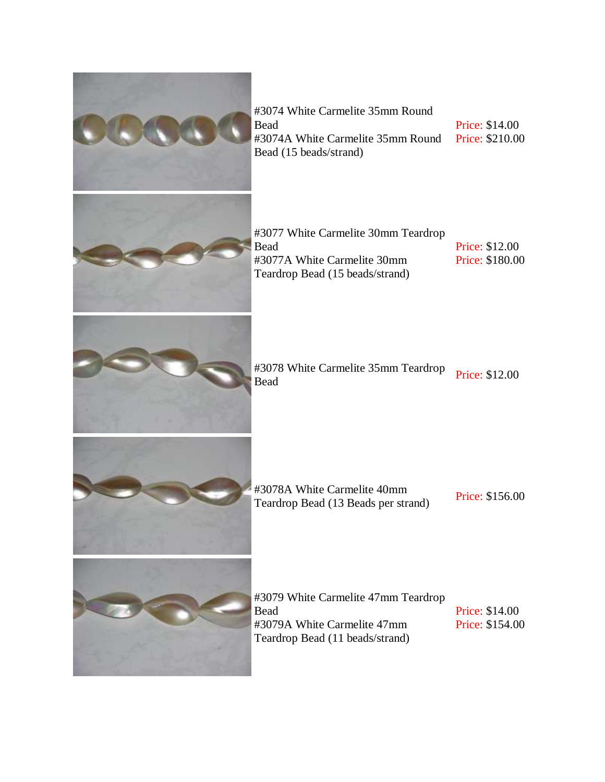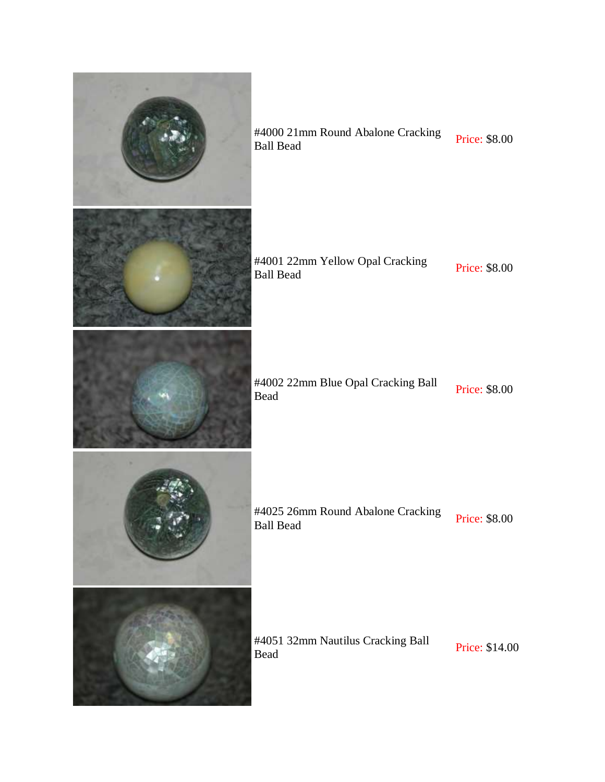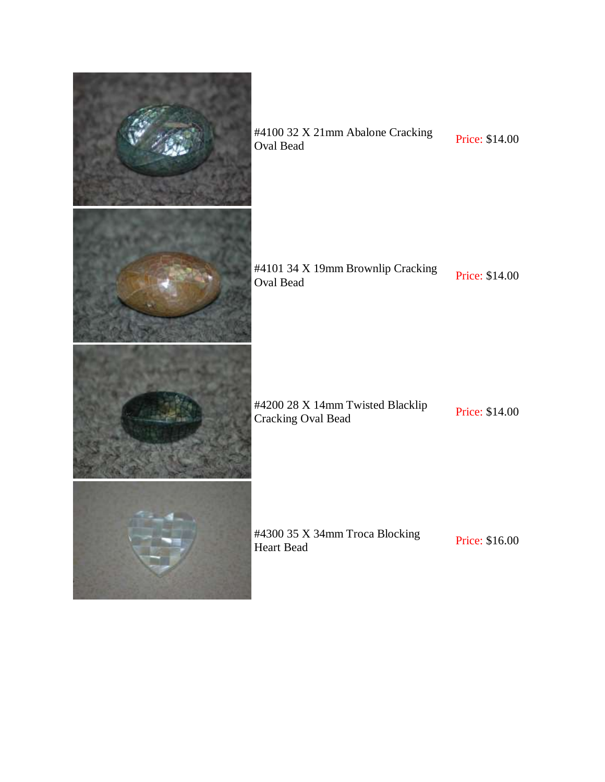

#4101 34 X 19mm Brownlip Cracking<br>Oval Bead Price: \$14.00

#4200 28 X 14mm Twisted Blacklip #4200 28 X 14mm I wisted Blacklip<br>Cracking Oval Bead Price: \$14.00

#4300 35 X 34mm Troca Blocking<br>Heart Bead Price: \$16.00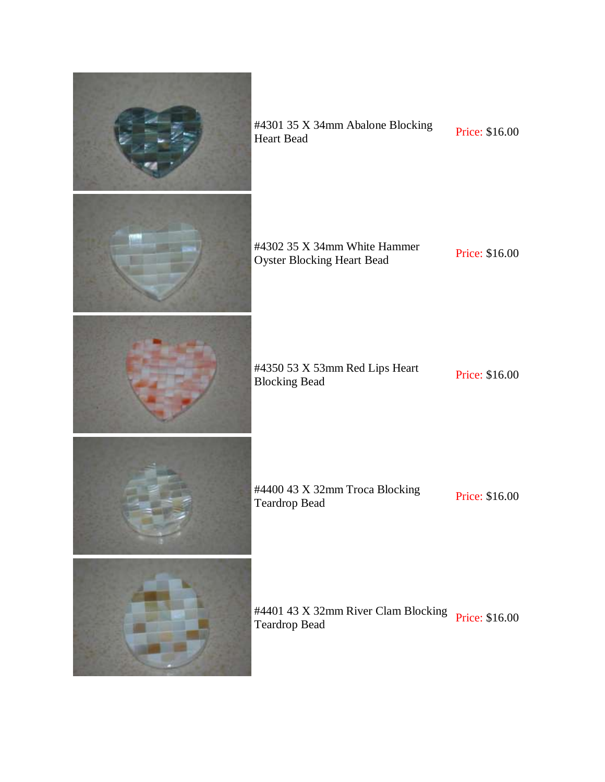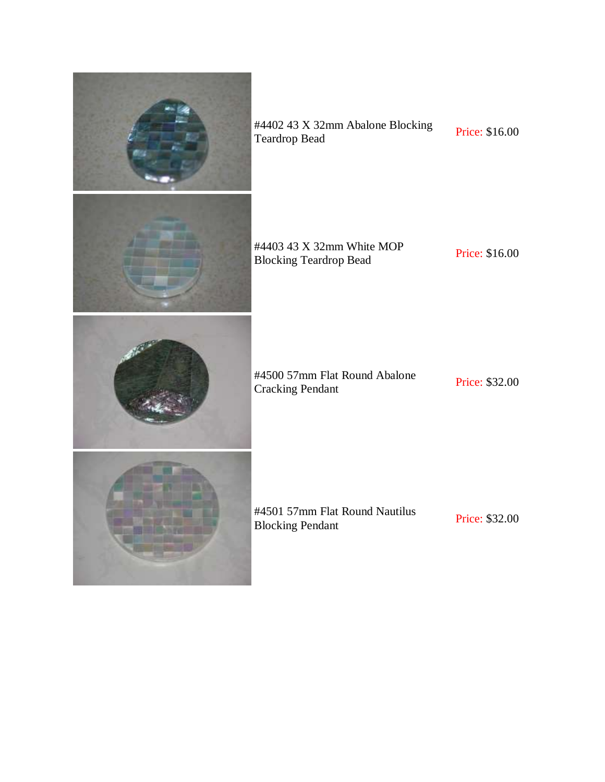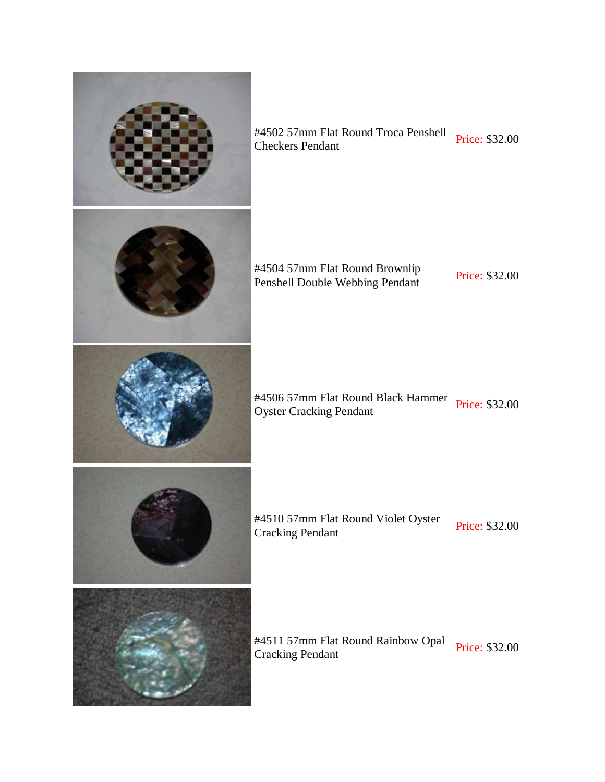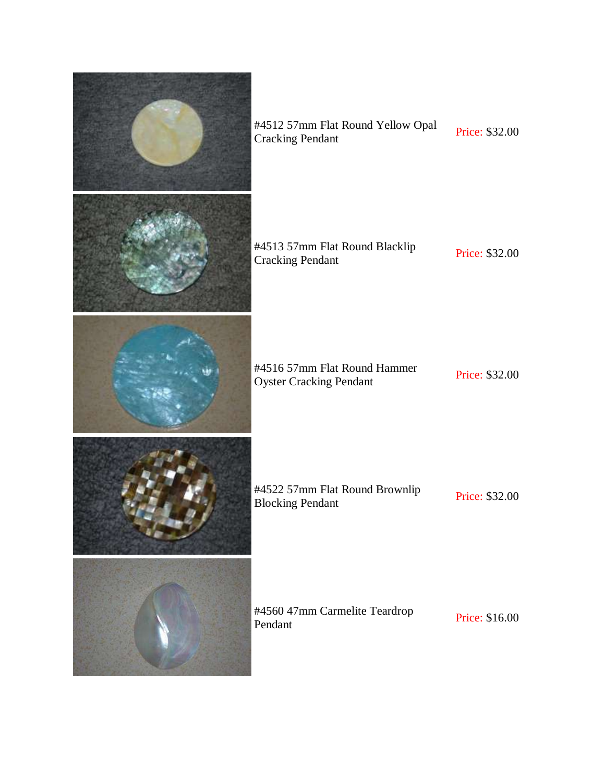